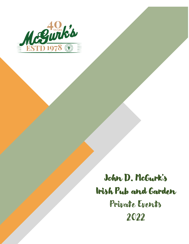

# John D. McGurk's Irish Pub and Garden Private Events 2022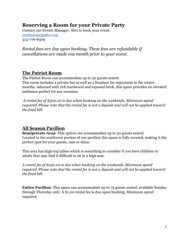# **Reserving a Room for your Private Party**

Contact our Events Manager, Alex to book your event. [events@](mailto:Julie@mcgurks.com)mcgurks.com 314-776-8309

*Rental fees are due upon booking. These fees are refundable if cancellations are made one month prior to your event.*

#### **The Patriot Room**

The Patriot Room can accommodate up to 50 guests seated. This room includes a private bar as well as a fireplace for enjoyment in the winter months. Adorned with rich hardwood and exposed brick, this space provides an elevated ambiance perfect for any occasion.

*A rental fee of \$500.00 is due when booking on the weekends. Minimum spend required. Please note that the rental fee is not a deposit and will not be applied toward the final bill.* 

## **All Season Pavilion**

**Semiprivate Area:** This option can accommodate up to 30 guests seated. Located in the southwest portion of our pavilion this space is fully covered, making it the perfect spot for your guests, rain or shine.

This area has high-top tables which is something to consider if you have children or adults that may find it difficult to sit in a high seat.

*A rental fee of \$250.00 is due when booking on the weekends. Minimum spend required. Please note that the rental fee is not a deposit and will not be applied toward the final bill.* 

**Entire Pavilion:** This space can accommodate up to 75 guests seated, available Sunday through Thursday only. A \$1,00 rental fee is due upon booking. Minimum spend required.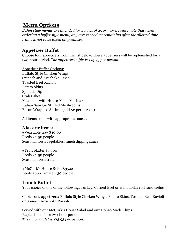# **Menu Options**

*Buffet style menus are intended for parties of 25 or more. Please note that when ordering a buffet style menu, any excess product remaining after the allotted time frame is not to be taken off premises.* 

## **Appetizer Buffet**

Choose four appetizers from the list below. These appetizers will be replenished for a two-hour period. *The appetizer buffet is \$14.95 per person.*

Appetizer Buffet Options: Buffalo Style Chicken Wings Spinach and Artichoke Ravioli Toasted Beef Ravioli Potato Skins Spinach Dip Crab Cakes Meatballs with House-Made Marinara Italian Sausage Stuffed Mushrooms Bacon Wrapped Shrimp (add \$2 per person)

All items come with appropriate sauces.

#### **A la carte items:**

+Vegetable tray \$40.00 Feeds 25-50 people Seasonal fresh vegetables, ranch dipping sauce

+Fruit platter \$75.00 Feeds 25-50 people Seasonal fresh fruit

+McGurk's House Salad \$35.00 Feeds approximately 30 people

## **Lunch Buffet**

Your choice of one of the following: Turkey, Corned Beef or Ham dollar roll sandwiches

Choice of 2 appetizers: Buffalo Style Chicken Wings, Potato Skins, Toasted Beef Ravioli or Spinach Artichoke Ravioli.

Served with our McGurk's House Salad and our House-Made Chips. Replenished for a two-hour period. *The lunch buffet is \$15.95 per person.*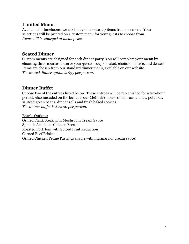#### **Limited Menu**

Available for luncheons, we ask that you choose 5-7 items from our menu. Your selections will be printed on a custom menu for your guests to choose from. *Items will be charged at menu price.* 

### **Seated Dinner**

Custom menus are designed for each dinner party. You will complete your menu by choosing three courses to serve your guests: soup or salad, choice of entrée, and dessert. Items are chosen from our standard dinner menu, available on our website. *The seated dinner option is \$35 per person.*

## **Dinner Buffet**

Choose two of the entrées listed below. These entrées will be replenished for a two-hour period. Also included on the buffet is our McGurk's house salad, roasted new potatoes, sautéed green beans, dinner rolls and fresh baked cookies. *The dinner buffet is \$24.00 per person.*

Entrée Options: Grilled Flank Steak with Mushroom Cream Sauce Spinach Artichoke Chicken Breast Roasted Pork loin with Spiced Fruit Reduction Corned Beef Brisket Grilled Chicken Penne Pasta (available with marinara or cream sauce)